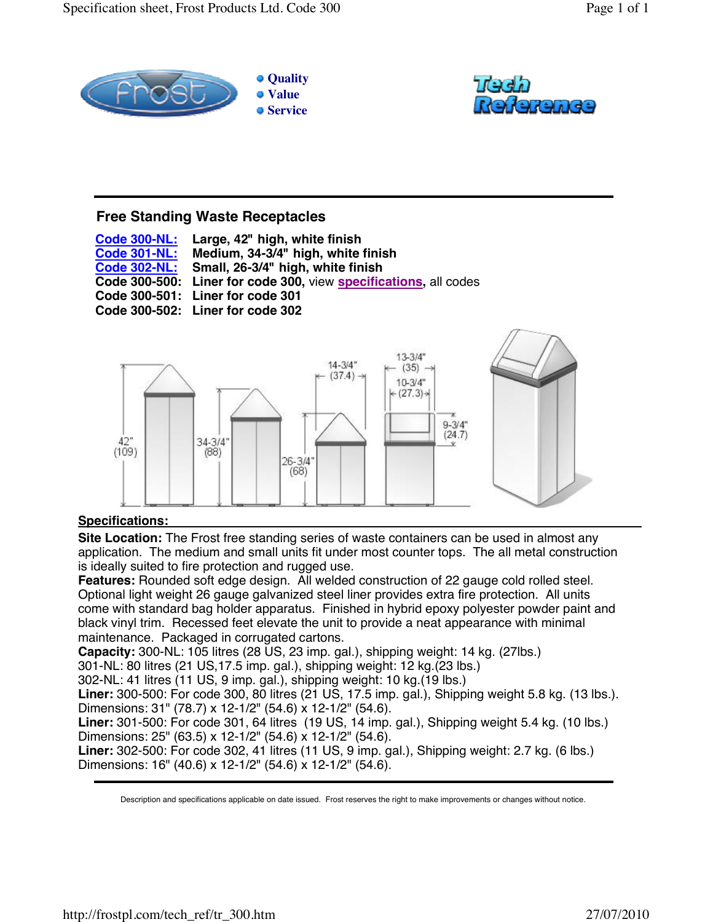



# **Free Standing Waste Receptacles**

**Code 300-NL: Code 301-NL: Code 302-NL: Code 300-500: Liner for code 300,** view **specifications,** all codes **Code 300-501: Liner for code 301 Code 300-502: Liner for code 302 Large, 42" high, white finish Medium, 34-3/4" high, white finish Small, 26-3/4" high, white finish** 



## **Specifications:**

**Site Location:** The Frost free standing series of waste containers can be used in almost any application. The medium and small units fit under most counter tops. The all metal construction is ideally suited to fire protection and rugged use.

**Features:** Rounded soft edge design. All welded construction of 22 gauge cold rolled steel. Optional light weight 26 gauge galvanized steel liner provides extra fire protection. All units come with standard bag holder apparatus. Finished in hybrid epoxy polyester powder paint and black vinyl trim. Recessed feet elevate the unit to provide a neat appearance with minimal maintenance. Packaged in corrugated cartons.

**Capacity:** 300-NL: 105 litres (28 US, 23 imp. gal.), shipping weight: 14 kg. (27lbs.)

301-NL: 80 litres (21 US,17.5 imp. gal.), shipping weight: 12 kg.(23 lbs.)

302-NL: 41 litres (11 US, 9 imp. gal.), shipping weight: 10 kg.(19 lbs.)

**Liner:** 300-500: For code 300, 80 litres (21 US, 17.5 imp. gal.), Shipping weight 5.8 kg. (13 lbs.). Dimensions: 31" (78.7) x 12-1/2" (54.6) x 12-1/2" (54.6).

**Liner:** 301-500: For code 301, 64 litres (19 US, 14 imp. gal.), Shipping weight 5.4 kg. (10 lbs.) Dimensions: 25" (63.5) x 12-1/2" (54.6) x 12-1/2" (54.6).

**Liner:** 302-500: For code 302, 41 litres (11 US, 9 imp. gal.), Shipping weight: 2.7 kg. (6 lbs.) Dimensions: 16" (40.6) x 12-1/2" (54.6) x 12-1/2" (54.6).

Description and specifications applicable on date issued. Frost reserves the right to make improvements or changes without notice.